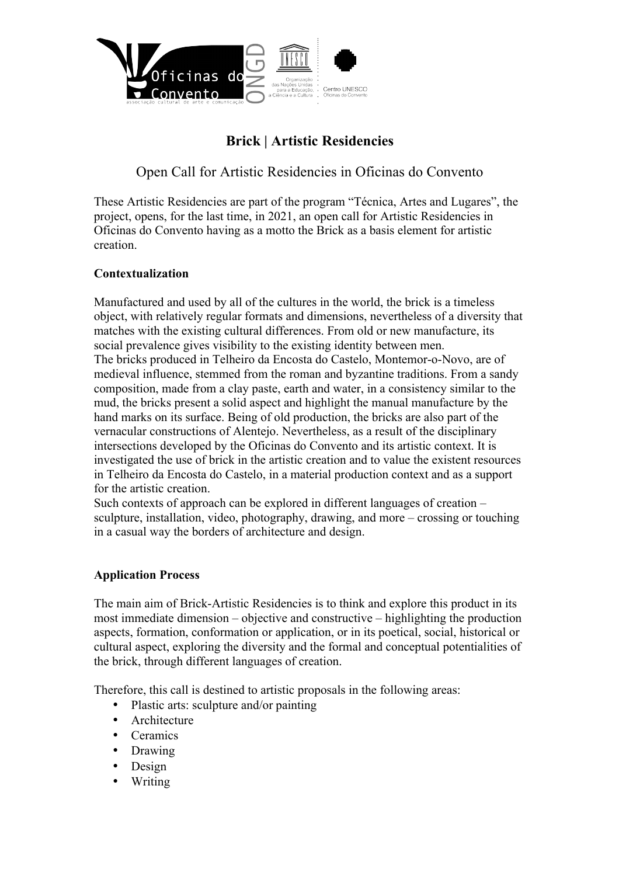

# **Brick | Artistic Residencies**

Open Call for Artistic Residencies in Oficinas do Convento

These Artistic Residencies are part of the program "Técnica, Artes and Lugares", the project, opens, for the last time, in 2021, an open call for Artistic Residencies in Oficinas do Convento having as a motto the Brick as a basis element for artistic creation.

# **Contextualization**

Manufactured and used by all of the cultures in the world, the brick is a timeless object, with relatively regular formats and dimensions, nevertheless of a diversity that matches with the existing cultural differences. From old or new manufacture, its social prevalence gives visibility to the existing identity between men. The bricks produced in Telheiro da Encosta do Castelo, Montemor-o-Novo, are of medieval influence, stemmed from the roman and byzantine traditions. From a sandy composition, made from a clay paste, earth and water, in a consistency similar to the mud, the bricks present a solid aspect and highlight the manual manufacture by the hand marks on its surface. Being of old production, the bricks are also part of the vernacular constructions of Alentejo. Nevertheless, as a result of the disciplinary intersections developed by the Oficinas do Convento and its artistic context. It is investigated the use of brick in the artistic creation and to value the existent resources in Telheiro da Encosta do Castelo, in a material production context and as a support for the artistic creation.

Such contexts of approach can be explored in different languages of creation – sculpture, installation, video, photography, drawing, and more – crossing or touching in a casual way the borders of architecture and design.

### **Application Process**

The main aim of Brick-Artistic Residencies is to think and explore this product in its most immediate dimension – objective and constructive – highlighting the production aspects, formation, conformation or application, or in its poetical, social, historical or cultural aspect, exploring the diversity and the formal and conceptual potentialities of the brick, through different languages of creation.

Therefore, this call is destined to artistic proposals in the following areas:

- Plastic arts: sculpture and/or painting
- Architecture
- Ceramics
- Drawing
- Design
- Writing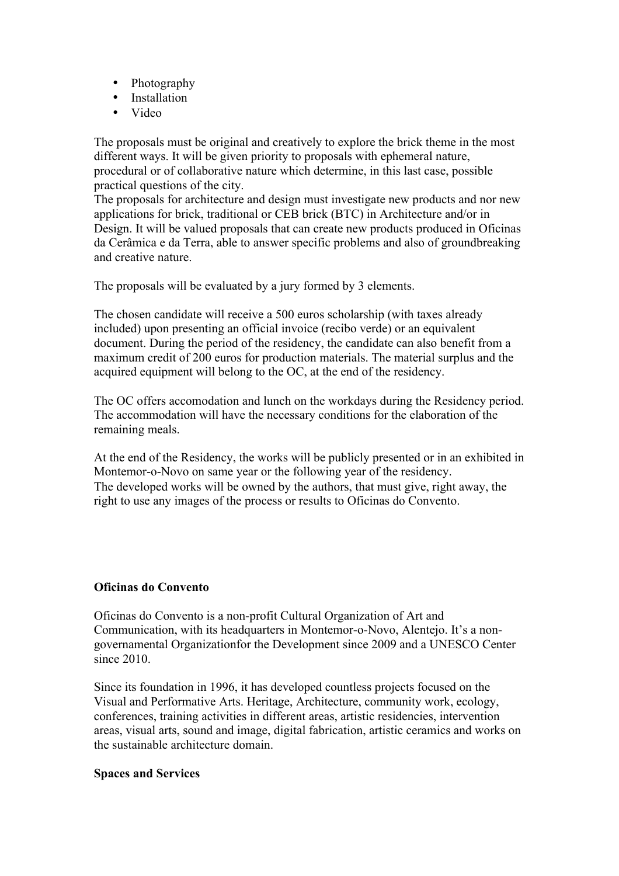- Photography
- Installation
- Video

The proposals must be original and creatively to explore the brick theme in the most different ways. It will be given priority to proposals with ephemeral nature, procedural or of collaborative nature which determine, in this last case, possible practical questions of the city.

The proposals for architecture and design must investigate new products and nor new applications for brick, traditional or CEB brick (BTC) in Architecture and/or in Design. It will be valued proposals that can create new products produced in Oficinas da Cerâmica e da Terra, able to answer specific problems and also of groundbreaking and creative nature.

The proposals will be evaluated by a jury formed by 3 elements.

The chosen candidate will receive a 500 euros scholarship (with taxes already included) upon presenting an official invoice (recibo verde) or an equivalent document. During the period of the residency, the candidate can also benefit from a maximum credit of 200 euros for production materials. The material surplus and the acquired equipment will belong to the OC, at the end of the residency.

The OC offers accomodation and lunch on the workdays during the Residency period. The accommodation will have the necessary conditions for the elaboration of the remaining meals.

At the end of the Residency, the works will be publicly presented or in an exhibited in Montemor-o-Novo on same year or the following year of the residency. The developed works will be owned by the authors, that must give, right away, the right to use any images of the process or results to Oficinas do Convento.

### **Oficinas do Convento**

Oficinas do Convento is a non-profit Cultural Organization of Art and Communication, with its headquarters in Montemor-o-Novo, Alentejo. It's a nongovernamental Organizationfor the Development since 2009 and a UNESCO Center since 2010.

Since its foundation in 1996, it has developed countless projects focused on the Visual and Performative Arts. Heritage, Architecture, community work, ecology, conferences, training activities in different areas, artistic residencies, intervention areas, visual arts, sound and image, digital fabrication, artistic ceramics and works on the sustainable architecture domain.

### **Spaces and Services**